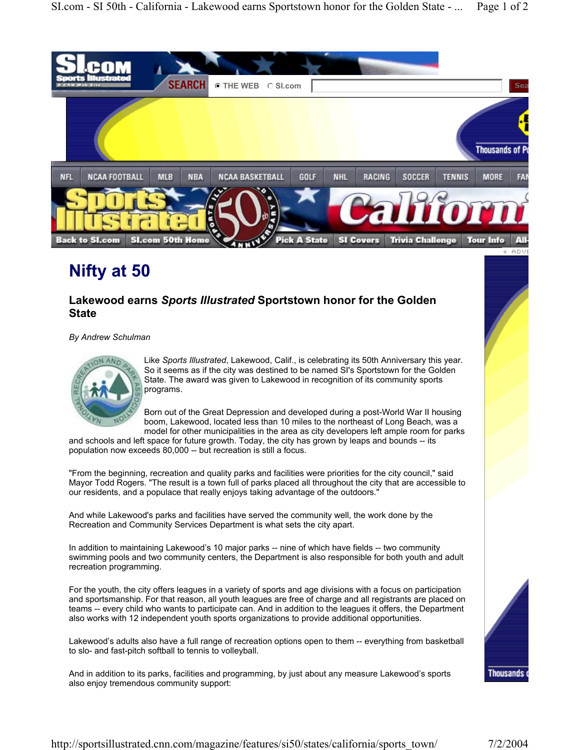

## **Nifty at 50**

## **Lakewood earns** *Sports Illustrated* **Sportstown honor for the Golden State**

*By Andrew Schulman* 



Like *Sports Illustrated*, Lakewood, Calif., is celebrating its 50th Anniversary this year. So it seems as if the city was destined to be named SI's Sportstown for the Golden State. The award was given to Lakewood in recognition of its community sports programs.

Born out of the Great Depression and developed during a post-World War II housing boom, Lakewood, located less than 10 miles to the northeast of Long Beach, was a model for other municipalities in the area as city developers left ample room for parks

and schools and left space for future growth. Today, the city has grown by leaps and bounds -- its population now exceeds 80,000 -- but recreation is still a focus.

"From the beginning, recreation and quality parks and facilities were priorities for the city council," said Mayor Todd Rogers. "The result is a town full of parks placed all throughout the city that are accessible to our residents, and a populace that really enjoys taking advantage of the outdoors."

And while Lakewood's parks and facilities have served the community well, the work done by the Recreation and Community Services Department is what sets the city apart.

In addition to maintaining Lakewood's 10 major parks -- nine of which have fields -- two community swimming pools and two community centers, the Department is also responsible for both youth and adult recreation programming.

For the youth, the city offers leagues in a variety of sports and age divisions with a focus on participation and sportsmanship. For that reason, all youth leagues are free of charge and all registrants are placed on teams -- every child who wants to participate can. And in addition to the leagues it offers, the Department also works with 12 independent youth sports organizations to provide additional opportunities.

Lakewood's adults also have a full range of recreation options open to them -- everything from basketball to slo- and fast-pitch softball to tennis to volleyball.

And in addition to its parks, facilities and programming, by just about any measure Lakewood's sports also enjoy tremendous community support: